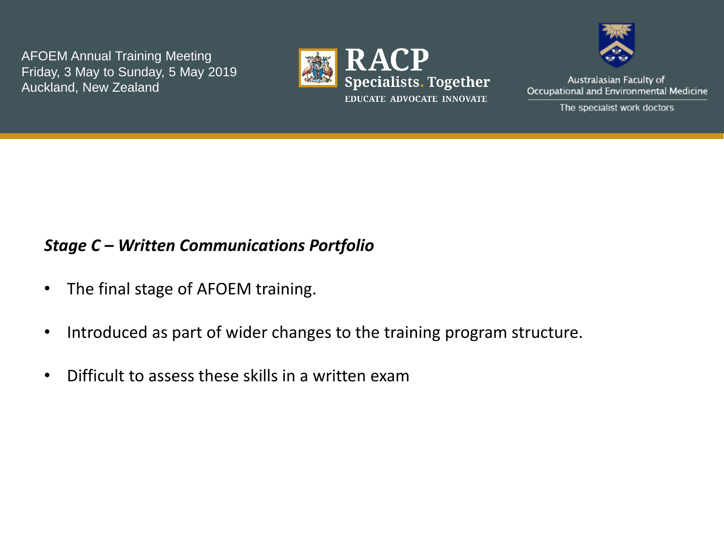



Australasian Faculty of Occupational and Environmental Medicine

The specialist work doctors

## *Stage C – Written Communications Portfolio*

- The final stage of AFOEM training.
- Introduced as part of wider changes to the training program structure.
- Difficult to assess these skills in a written exam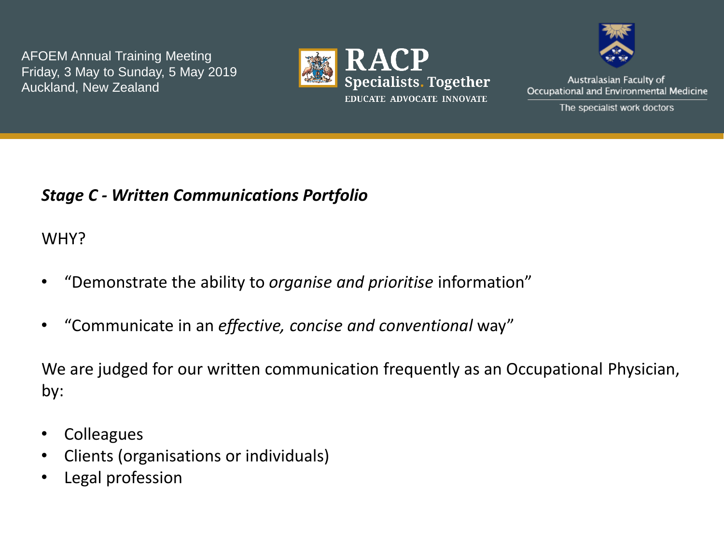



Australasian Faculty of Occupational and Environmental Medicine

The specialist work doctors

# *Stage C - Written Communications Portfolio*

WHY?

- "Demonstrate the ability to *organise and prioritise* information"
- "Communicate in an *effective, concise and conventional* way"

We are judged for our written communication frequently as an Occupational Physician, by:

- Colleagues
- Clients (organisations or individuals)
- Legal profession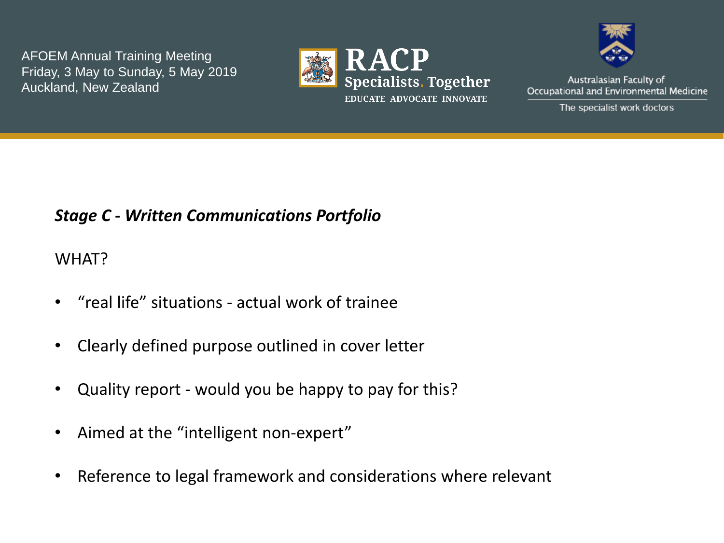



Australasian Faculty of Occupational and Environmental Medicine

The specialist work doctors

# *Stage C - Written Communications Portfolio*

### WHAT?

- "real life" situations actual work of trainee
- Clearly defined purpose outlined in cover letter
- Quality report would you be happy to pay for this?
- Aimed at the "intelligent non-expert"
- Reference to legal framework and considerations where relevant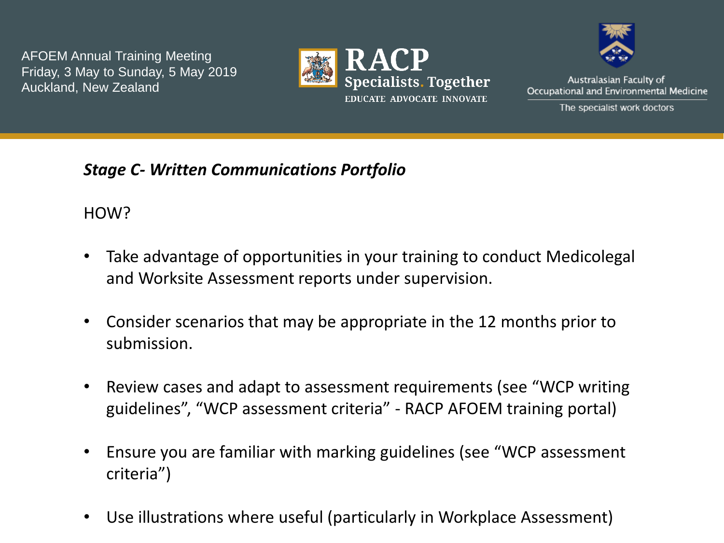



Australasian Faculty of Occupational and Environmental Medicine

The specialist work doctors

*Stage C- Written Communications Portfolio*

HOW?

- Take advantage of opportunities in your training to conduct Medicolegal and Worksite Assessment reports under supervision.
- Consider scenarios that may be appropriate in the 12 months prior to submission.
- Review cases and adapt to assessment requirements (see "WCP writing guidelines", "WCP assessment criteria" - RACP AFOEM training portal)
- Ensure you are familiar with marking guidelines (see "WCP assessment criteria")
- Use illustrations where useful (particularly in Workplace Assessment)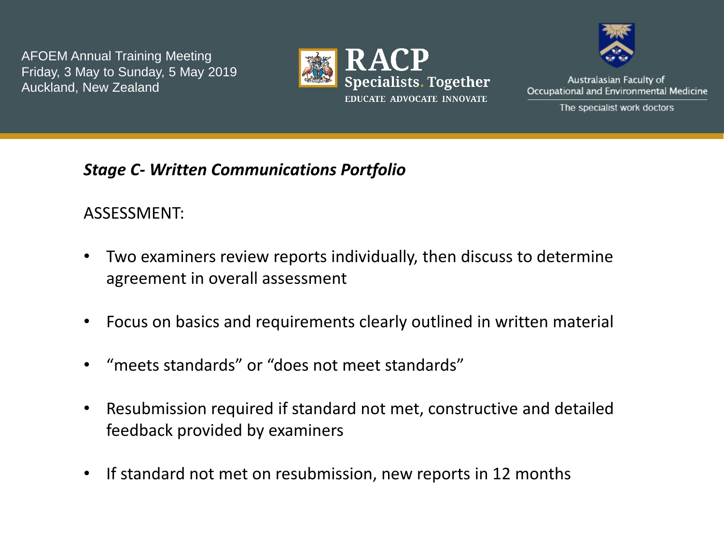



Australasian Faculty of Occupational and Environmental Medicine

The specialist work doctors

*Stage C- Written Communications Portfolio*

## ASSESSMENT:

- Two examiners review reports individually, then discuss to determine agreement in overall assessment
- Focus on basics and requirements clearly outlined in written material
- "meets standards" or "does not meet standards"
- Resubmission required if standard not met, constructive and detailed feedback provided by examiners
- If standard not met on resubmission, new reports in 12 months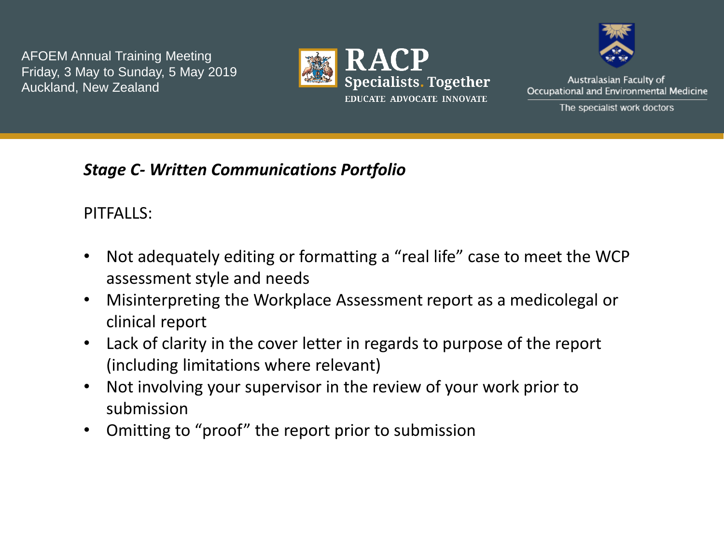



Australasian Faculty of Occupational and Environmental Medicine

The specialist work doctors

## *Stage C- Written Communications Portfolio*

PITFALLS:

- Not adequately editing or formatting a "real life" case to meet the WCP assessment style and needs
- Misinterpreting the Workplace Assessment report as a medicolegal or clinical report
- Lack of clarity in the cover letter in regards to purpose of the report (including limitations where relevant)
- Not involving your supervisor in the review of your work prior to submission
- Omitting to "proof" the report prior to submission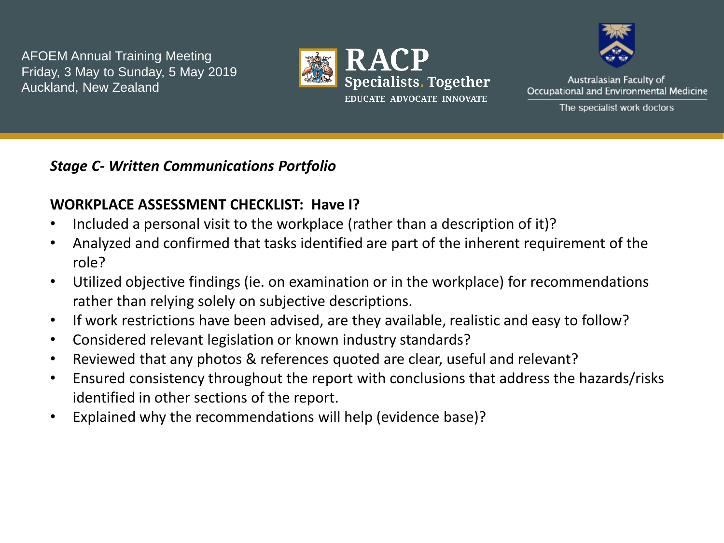



Australasian Faculty of Occupational and Environmental Medicine

The specialist work doctors

#### *Stage C- Written Communications Portfolio*

### **WORKPLACE ASSESSMENT CHECKLIST: Have I?**

- Included a personal visit to the workplace (rather than a description of it)?
- Analyzed and confirmed that tasks identified are part of the inherent requirement of the role?
- Utilized objective findings (ie. on examination or in the workplace) for recommendations rather than relying solely on subjective descriptions.
- If work restrictions have been advised, are they available, realistic and easy to follow?
- Considered relevant legislation or known industry standards?
- Reviewed that any photos & references quoted are clear, useful and relevant?
- Ensured consistency throughout the report with conclusions that address the hazards/risks identified in other sections of the report.
- Explained why the recommendations will help (evidence base)?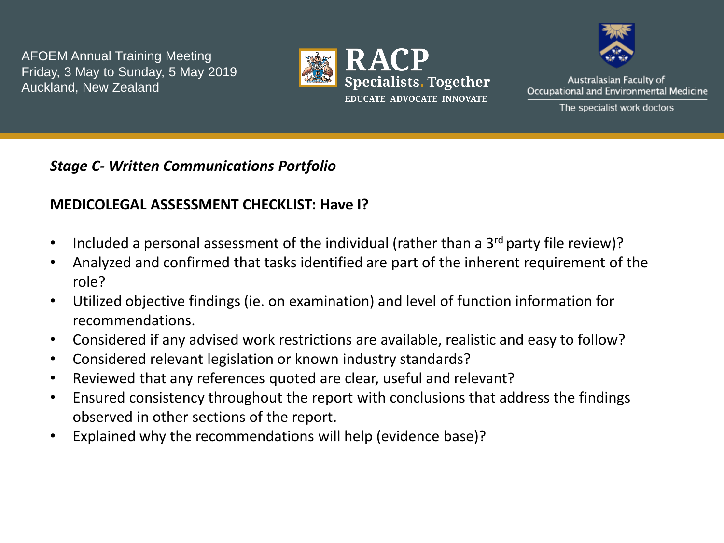



Australasian Faculty of Occupational and Environmental Medicine

The specialist work doctors

#### *Stage C- Written Communications Portfolio*

### **MEDICOLEGAL ASSESSMENT CHECKLIST: Have I?**

- Included a personal assessment of the individual (rather than a  $3<sup>rd</sup>$  party file review)?
- Analyzed and confirmed that tasks identified are part of the inherent requirement of the role?
- Utilized objective findings (ie. on examination) and level of function information for recommendations.
- Considered if any advised work restrictions are available, realistic and easy to follow?
- Considered relevant legislation or known industry standards?
- Reviewed that any references quoted are clear, useful and relevant?
- Ensured consistency throughout the report with conclusions that address the findings observed in other sections of the report.
- Explained why the recommendations will help (evidence base)?